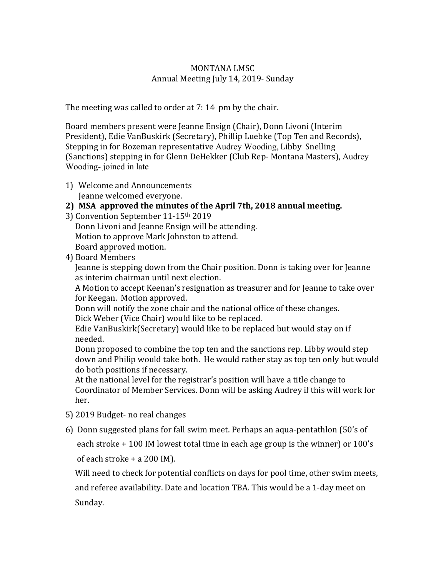## **MONTANA LMSC** Annual Meeting July 14, 2019- Sunday

The meeting was called to order at  $7:14$  pm by the chair.

Board members present were Jeanne Ensign (Chair), Donn Livoni (Interim President), Edie VanBuskirk (Secretary), Phillip Luebke (Top Ten and Records), Stepping in for Bozeman representative Audrey Wooding, Libby Snelling (Sanctions) stepping in for Glenn DeHekker (Club Rep- Montana Masters), Audrey Wooding- joined in late

- 1) Welcome and Announcements Jeanne welcomed everyone.
- 2) MSA approved the minutes of the April 7th, 2018 annual meeting.
- 3) Convention September 11-15<sup>th</sup> 2019 Donn Livoni and Jeanne Ensign will be attending. Motion to approve Mark Johnston to attend. Board approved motion.
- 4) Board Members

Jeanne is stepping down from the Chair position. Donn is taking over for Jeanne as interim chairman until next election.

A Motion to accept Keenan's resignation as treasurer and for Jeanne to take over for Keegan. Motion approved.

Donn will notify the zone chair and the national office of these changes. Dick Weber (Vice Chair) would like to be replaced.

Edie VanBuskirk(Secretary) would like to be replaced but would stay on if needed.

Donn proposed to combine the top ten and the sanctions rep. Libby would step down and Philip would take both. He would rather stay as top ten only but would do both positions if necessary.

At the national level for the registrar's position will have a title change to Coordinator of Member Services. Donn will be asking Audrey if this will work for her.

- 5) 2019 Budget- no real changes
- 6) Donn suggested plans for fall swim meet. Perhaps an aqua-pentathlon (50's of

each stroke  $+$  100 IM lowest total time in each age group is the winner) or 100's of each stroke  $+$  a 200 IM).

Will need to check for potential conflicts on days for pool time, other swim meets, and referee availability. Date and location TBA. This would be a 1-day meet on Sunday.